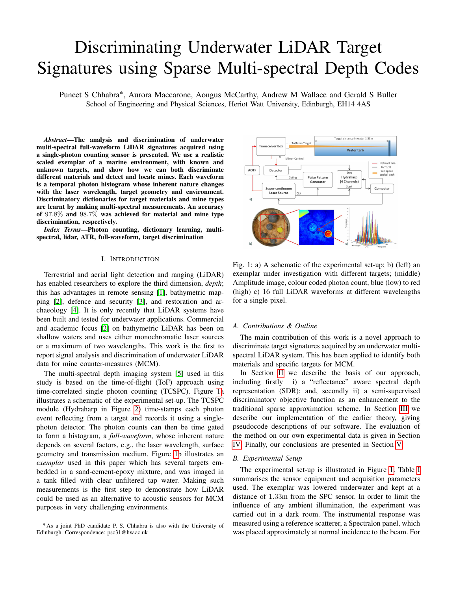# Discriminating Underwater LiDAR Target Signatures using Sparse Multi-spectral Depth Codes

Puneet S Chhabra<sup>\*</sup>, Aurora Maccarone, Aongus McCarthy, Andrew M Wallace and Gerald S Buller School of Engineering and Physical Sciences, Heriot Watt University, Edinburgh, EH14 4AS

*Abstract*—The analysis and discrimination of underwater multi-spectral full-waveform LiDAR signatures acquired using a single-photon counting sensor is presented. We use a realistic scaled exemplar of a marine environment, with known and unknown targets, and show how we can both discriminate different materials and detect and locate mines. Each waveform is a temporal photon histogram whose inherent nature changes with the laser wavelength, target geometry and environment. Discriminatory dictionaries for target materials and mine types are learnt by making multi-spectral measurements. An accuracy of 97.8% and 98.7% was achieved for material and mine type discrimination, respectively.

*Index Terms*—Photon counting, dictionary learning, multispectral, lidar, ATR, full-waveform, target discrimination

## I. INTRODUCTION

Terrestrial and aerial light detection and ranging (LiDAR) has enabled researchers to explore the third dimension, *depth*; this has advantages in remote sensing [\[1\]](#page-4-0), bathymetric mapping [\[2\]](#page-4-1), defence and security [\[3\]](#page-4-2), and restoration and archaeology [\[4\]](#page-4-3). It is only recently that LiDAR systems have been built and tested for underwater applications. Commercial and academic focus [\[2\]](#page-4-1) on bathymetric LiDAR has been on shallow waters and uses either monochromatic laser sources or a maximum of two wavelengths. This work is the first to report signal analysis and discrimination of underwater LiDAR data for mine counter-measures (MCM).

The multi-spectral depth imaging system [\[5\]](#page-4-4) used in this study is based on the time-of-flight (ToF) approach using time-correlated single photon counting (TCSPC). Figure [1a](#page-0-0) illustrates a schematic of the experimental set-up. The TCSPC module (Hydraharp in Figure [2\)](#page-1-0) time-stamps each photon event reflecting from a target and records it using a singlephoton detector. The photon counts can then be time gated to form a histogram, a *full-waveform*, whose inherent nature depends on several factors, e.g., the laser wavelength, surface geometry and transmission medium. Figure [1b](#page-0-0) illustrates an *exemplar* used in this paper which has several targets embedded in a sand-cement-epoxy mixture, and was imaged in a tank filled with clear unfiltered tap water. Making such measurements is the first step to demonstrate how LiDAR could be used as an alternative to acoustic sensors for MCM purposes in very challenging environments.



<span id="page-0-0"></span>

Fig. 1: a) A schematic of the experimental set-up; b) (left) an exemplar under investigation with different targets; (middle) Amplitude image, colour coded photon count, blue (low) to red (high) c) 16 full LiDAR waveforms at different wavelengths for a single pixel.

#### *A. Contributions & Outline*

The main contribution of this work is a novel approach to discriminate target signatures acquired by an underwater multispectral LiDAR system. This has been applied to identify both materials and specific targets for MCM.

In Section [II](#page-1-1) we describe the basis of our approach, including firstly i) a "reflectance" aware spectral depth representation (SDR); and, secondly ii) a semi-supervised discriminatory objective function as an enhancement to the traditional sparse approximation scheme. In Section [III](#page-3-0) we describe our implementation of the earlier theory, giving pseudocode descriptions of our software. The evaluation of the method on our own experimental data is given in Section [IV.](#page-3-1) Finally, our conclusions are presented in Section [V.](#page-4-5)

## <span id="page-0-1"></span>*B. Experimental Setup*

The experimental set-up is illustrated in Figure [1.](#page-0-0) Table [I](#page-1-2) summarises the sensor equipment and acquisition parameters used. The exemplar was lowered underwater and kept at a distance of 1.33m from the SPC sensor. In order to limit the influence of any ambient illumination, the experiment was carried out in a dark room. The instrumental response was measured using a reference scatterer, a Spectralon panel, which was placed approximately at normal incidence to the beam. For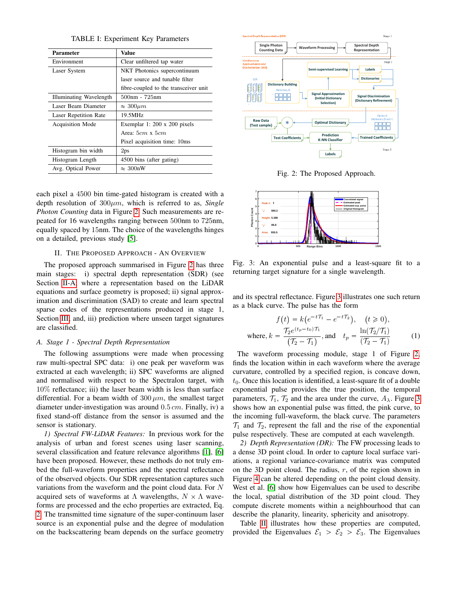TABLE I: Experiment Key Parameters

<span id="page-1-2"></span>

| <b>Parameter</b>             | Value                                 |  |  |
|------------------------------|---------------------------------------|--|--|
| Environment                  | Clear unfiltered tap water            |  |  |
| Laser System                 | NKT Photonics supercontinuum          |  |  |
|                              | laser source and tunable filter       |  |  |
|                              | fibre-coupled to the transceiver unit |  |  |
| Illuminating Wavelength      | 500nm - 725nm                         |  |  |
| Laser Beam Diameter          | $\approx 300 \mu m$                   |  |  |
| <b>Laser Repetition Rate</b> | 19.5MHz                               |  |  |
| <b>Acquisition Mode</b>      | Exemplar 1: 200 x 200 pixels          |  |  |
|                              | Area: $5cm \times 5cm$                |  |  |
|                              | Pixel acquisition time: 10ms          |  |  |
| Histogram bin width          | 2 <sub>ps</sub>                       |  |  |
| Histogram Length             | 4500 bins (after gating)              |  |  |
| Avg. Optical Power           | $\approx 300$ nW                      |  |  |

each pixel a 4500 bin time-gated histogram is created with a depth resolution of 300µm, which is referred to as, *Single Photon Counting* data in Figure [2.](#page-1-0) Such measurements are repeated for 16 wavelengths ranging between 500nm to 725nm, equally spaced by 15nm. The choice of the wavelengths hinges on a detailed, previous study [\[5\]](#page-4-4).

## II. THE PROPOSED APPROACH - AN OVERVIEW

<span id="page-1-1"></span>The proposed approach summarised in Figure [2](#page-1-0) has three main stages: i) spectral depth representation (SDR) (see Section [II-A,](#page-1-3) where a representation based on the LiDAR equations and surface geometry is proposed; ii) signal approximation and discrimination (SAD) to create and learn spectral sparse codes of the representations produced in stage 1, Section [III;](#page-3-0) and, iii) prediction where unseen target signatures are classified.

#### <span id="page-1-3"></span>*A. Stage 1 - Spectral Depth Representation*

The following assumptions were made when processing raw multi-spectral SPC data: i) one peak per waveform was extracted at each wavelength; ii) SPC waveforms are aligned and normalised with respect to the Spectralon target, with 10% reflectance; iii) the laser beam width is less than surface differential. For a beam width of  $300 \mu m$ , the smallest target diameter under-investigation was around  $0.5 \, \text{cm}$ . Finally, iv) a fixed stand-off distance from the sensor is assumed and the sensor is stationary.

*1) Spectral FW-LiDAR Features:* In previous work for the analysis of urban and forest scenes using laser scanning, several classification and feature relevance algorithms [\[1\]](#page-4-0), [\[6\]](#page-4-6) have been proposed. However, these methods do not truly embed the full-waveform properties and the spectral reflectance of the observed objects. Our SDR representation captures such variations from the waveform and the point cloud data. For N acquired sets of waveforms at  $\Lambda$  wavelengths,  $N \times \Lambda$  waveforms are processed and the echo properties are extracted, Eq. [2.](#page-2-0) The transmitted time signature of the super-continuum laser source is an exponential pulse and the degree of modulation **Thus interest in the formulation** ( $\frac{60}{2}$  ( $\frac{60}{2}$  Lase Exam Danuble is a solonom - 725mm<br>
Lase Exam Danuble ( $\frac{60}{2}$  Lase Example 1.20 x 300 giaols<br>
Lase Example 1.20 x 300 giaols<br>
Acquisition Mode<br>
Thus ugnin

<span id="page-1-0"></span>

Fig. 2: The Proposed Approach.

<span id="page-1-4"></span>

Fig. 3: An exponential pulse and a least-square fit to a returning target signature for a single wavelength.

and its spectral reflectance. Figure [3](#page-1-4) illustrates one such return as a black curve. The pulse has the form

$$
f(t) = k(e^{-tT_1} - e^{-tT_2}), \quad (t \ge 0),
$$
  
where,  $k = \frac{T_2 e^{(t_p - t_0)T_1}}{(T_2 - T_1)},$  and  $t_p = \frac{\ln(T_2/T_1)}{(T_2 - T_1)}$  (1)

The waveform processing module, stage 1 of Figure [2,](#page-1-0) finds the location within in each waveform where the average curvature, controlled by a specified region, is concave down,  $t<sub>0</sub>$ . Once this location is identified, a least-square fit of a double exponential pulse provides the true position, the temporal parameters,  $\mathcal{T}_1$ ,  $\mathcal{T}_2$  and the area under the curve,  $A_\lambda$ . Figure [3](#page-1-4) shows how an exponential pulse was fitted, the pink curve, to the incoming full-waveform, the black curve. The parameters  $\mathcal{T}_1$  and  $\mathcal{T}_2$ , represent the fall and the rise of the exponential pulse respectively. These are computed at each wavelength.

<span id="page-1-5"></span>*2) Depth Representation (DR):* The FW processing leads to a dense 3D point cloud. In order to capture local surface variations, a regional variance-covariance matrix was computed on the 3D point cloud. The radius,  $r$ , of the region shown in Figure [4](#page-2-1) can be altered depending on the point cloud density. West et al. [\[6\]](#page-4-6) show how Eigenvalues can be used to describe the local, spatial distribution of the 3D point cloud. They compute discrete moments within a neighbourhood that can describe the planarity, linearity, sphericity and anisotropy.

Table [II](#page-2-2) illustrates how these properties are computed, provided the Eigenvalues  $\mathcal{E}_1 > \mathcal{E}_2 > \mathcal{E}_3$ . The Eigenvalues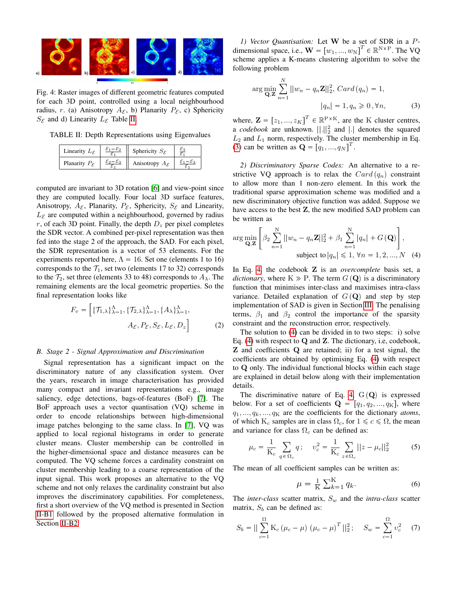<span id="page-2-1"></span>

Fig. 4: Raster images of different geometric features computed for each 3D point, controlled using a local neighbourhood radius, r. (a) Anisotropy  $A_{\mathcal{E}}$ , b) Planarity  $P_{\mathcal{E}}$ , c) Sphericity  $S_{\mathcal{E}}$  and d) Linearity  $L_{\mathcal{E}}$  Table [II.](#page-2-2)

<span id="page-2-2"></span>TABLE II: Depth Representations using Eigenvalues<br>  $\boxed{\left| \begin{array}{c} \text{Inearly } L_{\mathcal{E}} & \frac{\mathcal{E}_1 - \mathcal{E}_2}{\sqrt{2}} \\ \end{array} \right|}$ 

| Linearity $L_{\mathcal{E}}$ | $\mathcal{E}_1-\mathcal{E}_2$ | Sphericity $S_{\mathcal{E}}$ |  |
|-----------------------------|-------------------------------|------------------------------|--|
| Planarity $P_{\mathcal{E}}$ |                               | Anisotropy $A_{\mathcal{E}}$ |  |

computed are invariant to 3D rotation [\[6\]](#page-4-6) and view-point since they are computed locally. Four local 3D surface features, Anisotropy,  $A_{\mathcal{E}}$ , Planarity,  $P_{\mathcal{E}}$ , Sphericity,  $S_{\mathcal{E}}$  and Linearity,  $L_{\mathcal{E}}$  are computed within a neighbourhood, governed by radius r, of each 3D point. Finally, the depth  $D_z$  per pixel completes the SDR vector. A combined per-pixel representation was then fed into the stage 2 of the approach, the SAD. For each pixel, the SDR representation is a vector of 53 elements. For the experiments reported here,  $\Lambda = 16$ . Set one (elements 1 to 16) corresponds to the  $\mathcal{T}_1$ , set two (elements 17 to 32) corresponds to the  $\mathcal{T}_2$ , set three (elements 33 to 48) corresponds to  $A_\lambda$ . The remaining elements are the local geometric properties. So the final representation looks like

$$
F_v = \left[ \{ \mathcal{T}_{1,\lambda} \}_{\lambda=1}^{\Lambda}, \{ \mathcal{T}_{2,\lambda} \}_{\lambda=1}^{\Lambda}, \{ A_{\lambda} \}_{\lambda=1}^{\Lambda}, A_{\varepsilon}, P_{\varepsilon}, S_{\varepsilon}, L_{\varepsilon}, D_z \right]
$$
(2)

## *B. Stage 2 - Signal Approximation and Discrimination*

Signal representation has a significant impact on the discriminatory nature of any classification system. Over the years, research in image characterisation has provided many compact and invariant representations e.g., image saliency, edge detections, bags-of-features (BoF) [\[7\]](#page-4-7). The BoF approach uses a vector quantisation (VQ) scheme in order to encode relationships between high-dimensional image patches belonging to the same class. In [\[7\]](#page-4-7), VQ was applied to local regional histograms in order to generate cluster means. Cluster membership can be controlled in the higher-dimensional space and distance measures can be computed. The VQ scheme forces a cardinality constraint on cluster membership leading to a coarse representation of the input signal. This work proposes an alternative to the VQ scheme and not only relaxes the cardinality constraint but also improves the discriminatory capabilities. For completeness, first a short overview of the VQ method is presented in Section [II-B1](#page-2-3) followed by the proposed alternative formulation in Section [II-B2.](#page-2-4)

<span id="page-2-3"></span>*1) Vector Quantisation:* Let W be a set of SDR in a Pdimensional space, i.e.,  $\mathbf{W} = [w_1, ..., w_N]^T \in \mathbb{R}^{N \times P}$ . The VQ scheme applies a K-means clustering algorithm to solve the following problem

<span id="page-2-5"></span>
$$
\arg\min_{\mathbf{Q},\mathbf{Z}} \sum_{n=1}^{N} ||w_n - q_n \mathbf{Z}||_2^2, Card (q_n) = 1,
$$
  

$$
|q_n| = 1, q_n \ge 0, \forall n,
$$
 (3)

where,  $\mathbf{Z} = [z_1, ..., z_K]^T \in \mathbb{R}^{P \times K}$ , are the K cluster centres, a *codebook* are unknown.  $\left\| . \right\|_2^2$  and  $\left| . \right|$  denotes the squared  $L_2$  and  $L_1$  norm, respectively. The cluster membership in Eq. [\(3\)](#page-2-5) can be written as  $\mathbf{Q} = \begin{bmatrix} q_1, ..., q_N \end{bmatrix}^T$ .

<span id="page-2-4"></span>*2) Discriminatory Sparse Codes:* An alternative to a restrictive VQ approach is to relax the  $Card(q_n)$  constraint to allow more than 1 non-zero element. In this work the traditional sparse approximation scheme was modified and a new discriminatory objective function was added. Suppose we have access to the best Z, the new modified SAD problem can be written as

<span id="page-2-6"></span>
$$
\arg\min_{\mathbf{Q},\mathbf{Z}} \left[ \beta_2 \sum_{n=1}^{N} ||w_n - q_n \mathbf{Z}||_2^2 + \beta_1 \sum_{n=1}^{N} |q_n| + G(\mathbf{Q}) \right],
$$
  
subject to  $|q_n| \leq 1, \forall n = 1, 2, ..., N$  (4)

In Eq. [4,](#page-2-6) the codebook Z is an *overcomplete* basis set, a *dictionary*, where  $K \gg P$ . The term  $G(Q)$  is a discriminatory function that minimises inter-class and maximises intra-class variance. Detailed explanation of  $G(\mathbf{Q})$  and step by step implementation of SAD is given in Section [III.](#page-3-0) The penalising terms,  $\beta_1$  and  $\beta_2$  control the importance of the sparsity constraint and the reconstruction error, respectively.

<span id="page-2-0"></span>The solution to [\(4\)](#page-2-6) can be divided in to two steps: i) solve Eq. [\(4\)](#page-2-6) with respect to  $Q$  and  $Z$ . The dictionary, i.e, codebook, Z and coefficients Q are retained; ii) for a test signal, the coefficients are obtained by optimising Eq. [\(4\)](#page-2-6) with respect to Q only. The individual functional blocks within each stage are explained in detail below along with their implementation details.

The discriminative nature of Eq. [4,](#page-2-6)  $G(Q)$  is expressed below. For a set of coefficients  $\mathbf{Q} = [q_1, q_2, ..., q_K]$ , where  $q_1, \ldots, q_k, \ldots, q_K$  are the coefficients for the dictionary *atoms*, of which K<sub>c</sub> samples are in class  $\Omega_c$ , for  $1 \leq c \leq \Omega$ , the mean and variance for class  $\Omega_c$  can be defined as:

<span id="page-2-7"></span>
$$
\mu_c = \frac{1}{K_c} \sum_{q \in \Omega_c} q \, ; \quad v_c^2 = \frac{1}{K_c} \sum_{z \in \Omega_c} ||z - \mu_c||_2^2 \tag{5}
$$

The mean of all coefficient samples can be written as:

$$
\mu = \frac{1}{K} \sum_{k=1}^{K} q_k.
$$
\n(6)

The *inter-class* scatter matrix,  $S_w$  and the *intra-class* scatter matrix,  $S_b$  can be defined as:

$$
S_b = || \sum_{c=1}^{\Omega} \mathbf{K}_c \left( \mu_c - \mu \right) \left( \mu_c - \mu \right)^T ||_2^2; \quad S_w = \sum_{c=1}^{\Omega} v_c^2 \quad (7)
$$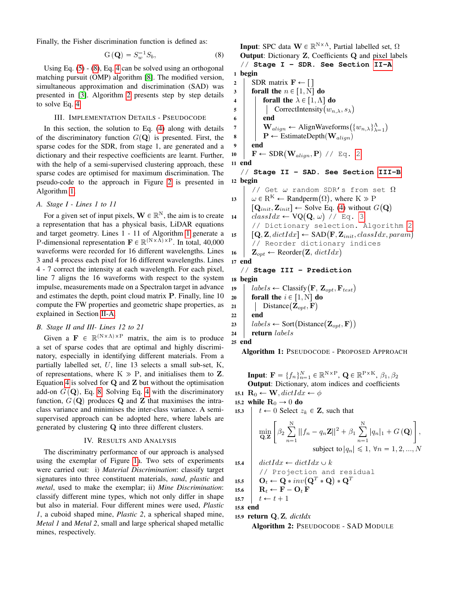Finally, the Fisher discrimination function is defined as:

$$
\mathbf{G}\left(\mathbf{Q}\right) = S_w^{-1} S_b,\tag{8}
$$

Using Eq. [\(5\)](#page-2-7) - [\(8\)](#page-3-2), Eq. [4](#page-2-6) can be solved using an orthogonal matching pursuit (OMP) algorithm [\[8\]](#page-4-8). The modified version, simultaneous approximation and discrimination (SAD) was presented in [\[3\]](#page-4-2). Algorithm [2](#page-3-3) presents step by step details to solve Eq. [4.](#page-2-6)

## III. IMPLEMENTATION DETAILS - PSEUDOCODE

<span id="page-3-0"></span>In this section, the solution to Eq. [\(4\)](#page-2-6) along with details of the discriminatory function  $G(\mathbf{Q})$  is presented. First, the sparse codes for the SDR, from stage 1, are generated and a dictionary and their respective coefficients are learnt. Further, with the help of a semi-supervised clustering approach, these sparse codes are optimised for maximum discrimination. The pseudo-code to the approach in Figure [2](#page-1-0) is presented in Algorithm [1.](#page-3-4)

## *A. Stage I - Lines 1 to 11*

For a given set of input pixels,  $\mathbf{W} \in \mathbb{R}^{N}$ , the aim is to create a representation that has a physical basis, LiDAR equations and target geometry. Lines 1 - 11 of Algorithm [1](#page-3-4) generate a P-dimensional representation  $\mathbf{F} \in \mathbb{R}^{(N \times \Lambda) \times P}$ . In total, 40,000 waveforms were recorded for 16 different wavelengths. Lines 3 and 4 process each pixel for 16 different wavelengths. Lines 4 - 7 correct the intensity at each wavelength. For each pixel, line 7 aligns the 16 waveforms with respect to the system impulse, measurements made on a Spectralon target in advance and estimates the depth, point cloud matrix P. Finally, line 10 compute the FW properties and geometric shape properties, as explained in Section [II-A.](#page-1-3)

## <span id="page-3-5"></span>*B. Stage II and III- Lines 12 to 21*

Given a  $\mathbf{F} \in \mathbb{R}^{(N \times \Lambda) \times P}$  matrix, the aim is to produce a set of sparse codes that are optimal and highly discriminatory, especially in identifying different materials. From a partially labelled set,  $U$ , line 13 selects a small sub-set,  $K$ , of representations, where  $K \gg P$ , and initialises them to Z. Equation [4](#page-2-6) is solved for  $Q$  and  $Z$  but without the optimisation add-on  $G(\mathbf{Q})$ , Eq. [8.](#page-3-2) Solving Eq. [4](#page-2-6) with the discriminatory function,  $G(Q)$  produces Q and Z that maximises the intraclass variance and minimises the inter-class variance. A semisupervised approach can be adopted here, where labels are generated by clustering Q into three different clusters.

## IV. RESULTS AND ANALYSIS

<span id="page-3-1"></span>The discriminatry performance of our approach is analysed using the exemplar of Figure [1a](#page-0-0). Two sets of experiments were carried out: i) *Material Discrimination*: classify target signatures into three constituent materials, *sand*, *plastic* and *metal*, used to make the exemplar; ii) *Mine Discrimination*: classify different mine types, which not only differ in shape but also in material. Four different mines were used, *Plastic 1*, a cuboid shaped mine, *Plastic 2*, a spherical shaped mine, *Metal 1* and *Metal 2*, small and large spherical shaped metallic mines, respectively.

<span id="page-3-2"></span>**Input:** SPC data  $\mathbf{W} \in \mathbb{R}^{N \times \Lambda}$ , Partial labelled set,  $\Omega$ Output: Dictionary Z, Coefficients Q and pixel labels // **Stage I - SDR. See Section [II-A](#page-1-3)** 1 begin 2 | SDR matrix  $\mathbf{F} \leftarrow [$  $3$  forall the  $n \in [1, N]$  do 4 **forall the**  $\lambda \in [1, \Lambda]$  do 5 | | CorrectIntensity  $(w_{n,\lambda}, s_\lambda)$  $6 \mid \cdot \cdot$  end 7 | **W**<sub>align</sub> ← AlignWaveforms $(\{w_{n,\lambda}\}_{\lambda=1}^{\Lambda})$ 8 | P  $\leftarrow$  EstimateDepth $(\mathbf{W}_{align})$ 9 end 10 |  $\mathbf{F} \leftarrow \text{SDR}(\mathbf{W}_{align}, \mathbf{P})$  // Eq. [2](#page-2-0) 11 end // **Stage II - SAD. See Section [III-B](#page-3-5)** 12 begin // Get  $\omega$  random SDR's from set  $\Omega$ 13  $\omega \in \mathbb{R}^K$   $\leftarrow$  Randperm $(\Omega)$ , where  $K \gg P$  $[\mathbf{Q}_{init}, \mathbf{Z}_{init}] \leftarrow$  Solve Eq. [\(4\)](#page-2-6) without  $G(\mathbf{Q})$ 14  $\int classIdx \leftarrow \text{VQ}(\textbf{Q}, \omega)$  // Eq. [3](#page-2-5) // Dictionary selection. Algorithm [2](#page-3-3) 15  $[Q, Z, dictIdx] \leftarrow SAD(F, Z_{init}, classIdx, param)$ // Reorder dictionary indices 16 |  $\mathbf{Z}_{opt} \leftarrow \text{Reorder}(\mathbf{Z}, \text{dictIdx})$ 17 end // **Stage III - Prediction** 18 begin 19  $\left| \right.$   $labels \leftarrow Classify(\mathbf{F}, \mathbf{Z}_{opt}, \mathbf{F}_{test})$ 20 **forall the**  $i \in [1, N]$  do 21 | Distance  $(\mathbf{Z}_{opt}, \mathbf{F})$  $22$  end 23 |  $labels \leftarrow Sort(Distance(Z_{opt}, F))$  $24$  return labels



<span id="page-3-4"></span>Algorithm 1: PSEUDOCODE - PROPOSED APPROACH

**Input:** 
$$
\mathbf{F} = \{f_n\}_{n=1}^N \in \mathbb{R}^{N \times P}
$$
,  $\mathbf{Q} \in \mathbb{R}^{P \times K}$ ,  $\beta_1, \beta_2$   
**Output:** Dictionary, atom indices and coefficients  
**15.1**  $\mathbf{R}_0 \leftarrow \mathbf{W}$ ,  $dictIdx \leftarrow \phi$ 

15.2 while  $\mathbf{R}_0 \rightarrow 0$  do

15.3  $t \leftarrow 0$  Select  $z_k \in \mathbf{Z}$ , such that

$$
\min_{\mathbf{Q},\mathbf{Z}} \left[ \beta_2 \sum_{n=1}^{N} ||f_n - q_n \mathbf{Z}||^2 + \beta_1 \sum_{n=1}^{N} |q_n|_1 + G(\mathbf{Q}) \right],
$$
  
subject to  $|q_n| \leq 1, \forall n = 1, 2, ..., N$ 

15.4 
$$
\begin{array}{ll}\n\text{15.4} & \text{dictIdx} \leftarrow \text{dictIdx} \cup k \\
\hline\n\end{array}
$$
\n15.5 
$$
\begin{array}{ll}\n\text{15.6} & \text{Orc} \leftarrow \text{Q} * inv(\text{Q}^T * \text{Q}) * \text{Q}^T \\
\text{15.6} & \text{R}_t \leftarrow \text{F} - \text{O}_t \text{F} \\
\text{15.7} & t \leftarrow t + 1\n\end{array}
$$

15.8 end

15.9 return Q, Z*, dictIdx*

```
Algorithm 2: PSEUDOCODE - SAD MODULE
```